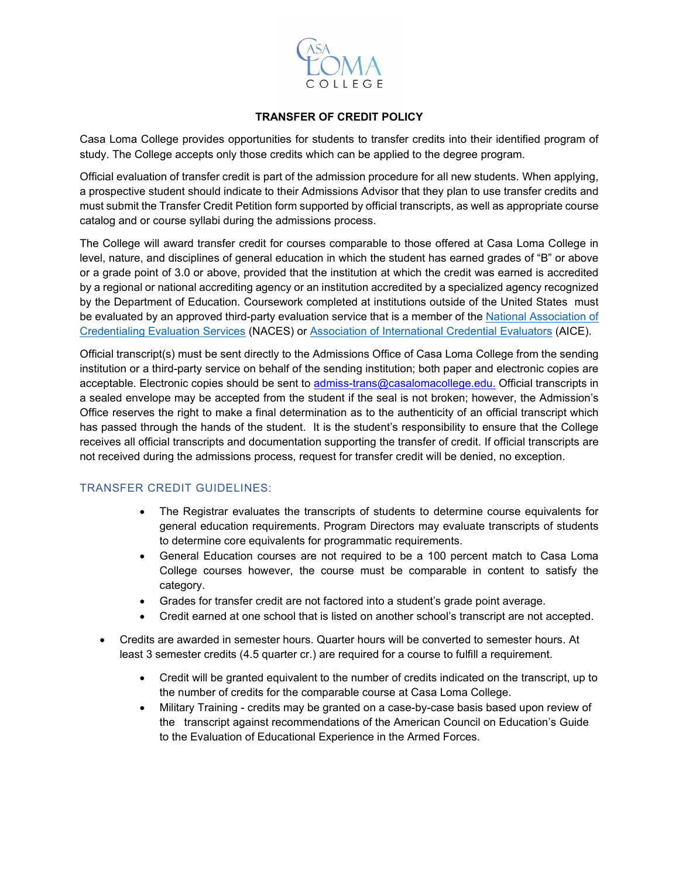

#### **TRANSFER OF CREDIT POLICY**

Casa Loma College provides opportunities for students to transfer credits into their identified program of study. The College accepts only those credits which can be applied to the degree program.

Official evaluation of transfer credit is part of the admission procedure for all new students. When applying, a prospective student should indicate to their Admissions Advisor that they plan to use transfer credits and must submit the Transfer Credit Petition form supported by official transcripts, as well as appropriate course catalog and or course syllabi during the admissions process.

The College will award transfer credit for courses comparable to those offered at Casa Loma College in level, nature, and disciplines of general education in which the student has earned grades of "B" or above or a grade point of 3.0 or above, provided that the institution at which the credit was earned is accredited by a regional or national accrediting agency or an institution accredited by a specialized agency recognized by the Department of Education. Coursework completed at institutions outside of the United States must be evaluated by an approved third-party evaluation service that is a member of the National Association of [Credentialing Evaluation Services](http://www.naces.org/) (NACES) or [Association of International Credential Evaluators](http://aice-eval.org/) (AICE).

Official transcript(s) must be sent directly to the Admissions Office of Casa Loma College from the sending institution or a third-party service on behalf of the sending institution; both paper and electronic copies are acceptable. Electronic copies should be sent to [admiss-trans@casalomacollege.edu.](mailto:admiss-trans@casalomacollege.edu) Official transcripts in a sealed envelope may be accepted from the student if the seal is not broken; however, the Admission's Office reserves the right to make a final determination as to the authenticity of an official transcript which has passed through the hands of the student. It is the student's responsibility to ensure that the College receives all official transcripts and documentation supporting the transfer of credit. If official transcripts are not received during the admissions process, request for transfer credit will be denied, no exception.

# TRANSFER CREDIT GUIDELINES:

- The Registrar evaluates the transcripts of students to determine course equivalents for general education requirements. Program Directors may evaluate transcripts of students to determine core equivalents for programmatic requirements.
- General Education courses are not required to be a 100 percent match to Casa Loma College courses however, the course must be comparable in content to satisfy the category.
- Grades for transfer credit are not factored into a student's grade point average.
- Credit earned at one school that is listed on another school's transcript are not accepted.
- Credits are awarded in semester hours. Quarter hours will be converted to semester hours. At least 3 semester credits (4.5 quarter cr.) are required for a course to fulfill a requirement.
	- Credit will be granted equivalent to the number of credits indicated on the transcript, up to the number of credits for the comparable course at Casa Loma College.
	- Military Training credits may be granted on a case-by-case basis based upon review of the transcript against recommendations of the American Council on Education's Guide to the Evaluation of Educational Experience in the Armed Forces.